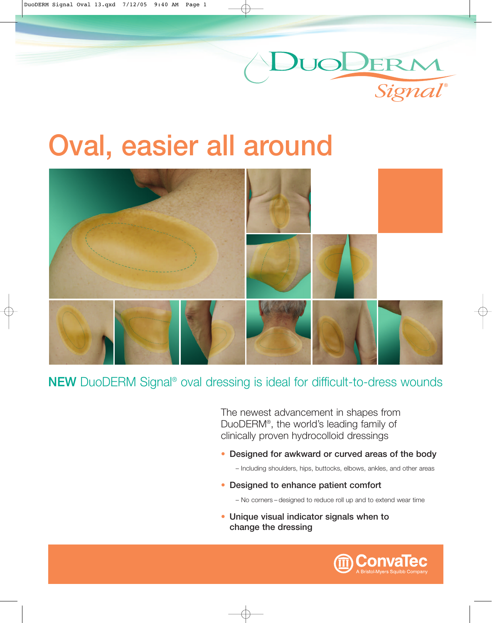

# **Oval, easier all around**



## **NEW** DuoDERM Signal® oval dressing is ideal for difficult-to-dress wounds

The newest advancement in shapes from DuoDERM®, the world's leading family of clinically proven hydrocolloid dressings

**• Designed for awkward or curved areas of the body** 

– Including shoulders, hips, buttocks, elbows, ankles, and other areas

**• Designed to enhance patient comfort**

– No corners – designed to reduce roll up and to extend wear time

**• Unique visual indicator signals when to change the dressing**